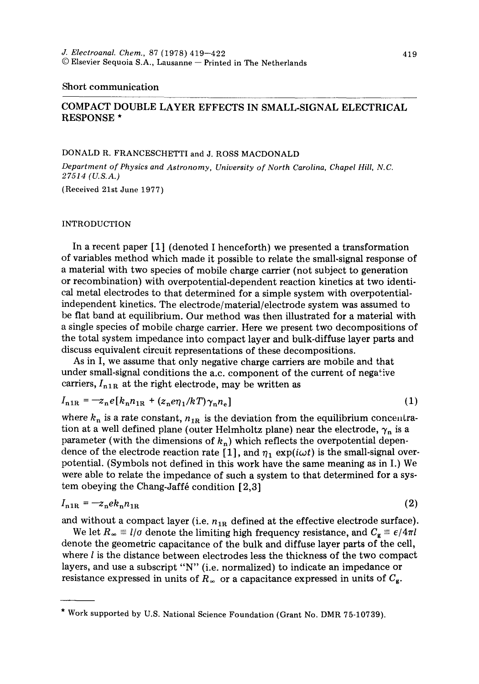#### Short communication

# COMPACT DOUBLE LAYER EFFECTS IN SMALL-SIGNAL ELECTRICAL RESPONSE \*

## DONALD R. FRANCESCHETTI and J. ROSS MACDONALD

*Department of Physics and Astronomy, University of North Carolina, Chapel Hill, N.C. 27514 (U.S.A.)* 

(Received 21st June 1977)

### INTRODUCTION

In a recent paper [1] (denoted I henceforth) we presented a transformation of variables method which made it possible to relate the small-signal response of a material with two species of mobile charge carrier (not subject to generation or recombination) with overpotential-dependent reaction kinetics at two identical metal electrodes to that determined for a simple system with overpotentialindependent kinetics. The electrode/material/electrode system was assumed to be flat band at equilibrium. Our method was then illustrated for a material with a single species of mobile charge carrier. Here we present two decompositions of the total system impedance into compact layer and bulk-diffuse layer parts and discuss equivalent circuit representations of these decompositions.

As in I, we assume that only negative charge carriers are mobile and that under small-signal conditions the a.c. component of the current of negative carriers,  $I_{n1R}$  at the right electrode, may be written as

$$
I_{n1R} = -z_n e[k_n n_{1R} + (z_n e\eta_1 / kT)\gamma_n n_e]
$$
 (1)

where  $k_n$  is a rate constant,  $n_{1R}$  is the deviation from the equilibrium concentration at a well defined plane (outer Helmholtz plane) near the electrode,  $\gamma_n$  is a parameter (with the dimensions of  $k_n$ ) which reflects the overpotential dependence of the electrode reaction rate [1], and  $\eta_1 \exp(i\omega t)$  is the small-signal overpotential. (Symbols not defined in this work have the same meaning as in I.) We were able to relate the impedance of such a system to that determined for a system obeying the Chang-Jaff $\acute{e}$  condition [2,3]

$$
I_{n1R} = -z_n e k_n n_{1R} \tag{2}
$$

and without a compact layer (i.e.  $n_{1R}$  defined at the effective electrode surface).

We let  $R_{\infty} \equiv l/\sigma$  denote the limiting high frequency resistance, and  $C_{\rm g} \equiv \epsilon/4\pi l$ denote the geometric capacitance of the bulk and diffuse layer parts of the cell, where  $l$  is the distance between electrodes less the thickness of the two compact layers, and use a subscript "N" (i.e. normalized) to indicate an impedance or resistance expressed in units of  $R_{\infty}$  or a capacitance expressed in units of  $C_{\rm g}$ .

<sup>\*</sup> Work supported by U.S. National Science Foundation (Grant No. DMR 75-10739).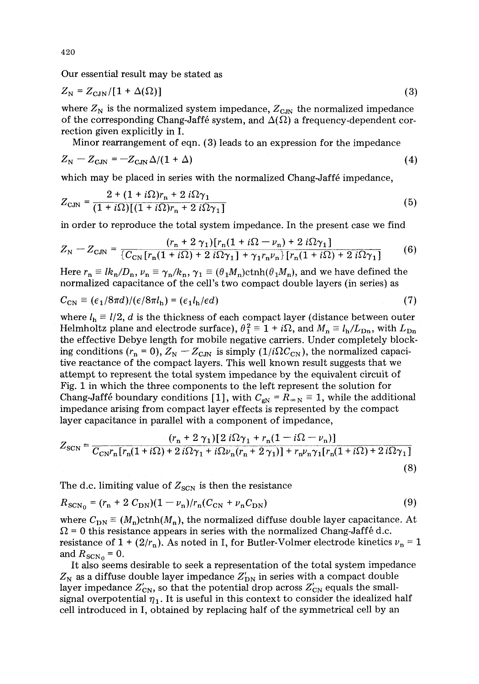Our essential result may be stated as

$$
Z_{\rm N} = Z_{\rm CJN}/[1 + \Delta(\Omega)] \tag{3}
$$

where  $Z_N$  is the normalized system impedance,  $Z_{\text{C,IN}}$  the normalized impedance of the corresponding Chang-Jaffé system, and  $\Delta(\Omega)$  a frequency-dependent correction given explicitly in I.

Minor rearrangement of eqn. (3) leads to an expression for the impedance

$$
Z_{\rm N} - Z_{\rm CJN} = -Z_{\rm CJN} \Delta/(1+\Delta) \tag{4}
$$

which may be placed in series with the normalized Chang-Jaffé impedance,

$$
Z_{\text{CJN}} = \frac{2 + (1 + i\Omega)r_{\text{n}} + 2 i\Omega\gamma_1}{(1 + i\Omega)[(1 + i\Omega)r_{\text{n}} + 2 i\Omega\gamma_1]}
$$
(5)

in order to reproduce the total system impedance. In the present case we find

$$
Z_{\rm N} - Z_{\rm CJN} = \frac{(r_{\rm n} + 2\,\gamma_1)[r_{\rm n}(1 + i\Omega - \nu_{\rm n}) + 2\,i\Omega\gamma_1]}{\left[C_{\rm CN}\left[r_{\rm n}(1 + i\Omega) + 2\,i\Omega\gamma_1\right] + \gamma_1 r_{\rm n}\nu_{\rm n}\right]\left[r_{\rm n}(1 + i\Omega) + 2\,i\Omega\gamma_1\right]}
$$
(6)

Here  $r_n \equiv lk_n/D_n$ ,  $\nu_n \equiv \gamma_n/k_n$ ,  $\gamma_1 \equiv (\theta_1 M_n) \text{ctnh}(\theta_1 M_n)$ , and we have defined the normalized capacitance of the cell's two compact double layers (in series) as

$$
C_{\rm CN} \equiv (\epsilon_1/8\pi d)/(\epsilon/8\pi l_{\rm h}) = (\epsilon_1 l_{\rm h}/\epsilon d) \tag{7}
$$

where  $l_h \equiv l/2$ , d is the thickness of each compact layer (distance between outer Helmholtz plane and electrode surface),  $\theta_1^2 = 1 + i\Omega$ , and  $M_n = l_h/L_{Dn}$ , with  $L_{Dn}$ the effective Debye length for mobile negative carriers. Under completely blocking conditions  $(r_n = 0)$ ,  $Z_N - Z_{\text{CM}}$  is simply  $(1/i\Omega C_{\text{CN}})$ , the normalized capacitive reactance of the compact layers. This well known result suggests that we attempt to represent the total system impedance by the equivalent circuit of Fig. 1 in which the three components to the left represent the solution for Chang-Jaffé boundary conditions [1], with  $C_{\text{eN}} = R_{\infty} = 1$ , while the additional impedance arising from compact layer effects is represented by the compact layer capacitance in parallel with a component of impedance,

$$
Z_{\text{SCN}} = \frac{(r_{\text{n}} + 2\gamma_1)[2 i\Omega\gamma_1 + r_{\text{n}}(1 - i\Omega - \nu_{\text{n}})]}{C_{\text{CN}}r_{\text{n}}[r_{\text{n}}(1 + i\Omega) + 2 i\Omega\gamma_1 + i\Omega\nu_{\text{n}}(r_{\text{n}} + 2\gamma_1)] + r_{\text{n}}\nu_{\text{n}}\gamma_1[r_{\text{n}}(1 + i\Omega) + 2 i\Omega\gamma_1]}
$$
(8)

The d.c. limiting value of  $Z_{\text{SCN}}$  is then the resistance

$$
R_{\rm SCN_0} = (r_{\rm n} + 2 C_{\rm DN})(1 - \nu_{\rm n})/r_{\rm n}(C_{\rm CN} + \nu_{\rm n}C_{\rm DN})
$$
\n(9)

where  $C_{\text{DN}} \equiv (M_n) \text{cth}(M_n)$ , the normalized diffuse double layer capacitance. At  $\Omega$  = 0 this resistance appears in series with the normalized Chang-Jaffé d.c. resistance of  $1 + (2/r_n)$ . As noted in I, for Butler-Volmer electrode kinetics  $v_n = 1$ and  $R_{\text{SCN}_0} = 0$ .

It also seems desirable to seek a representation of the total system impedance  $Z_{\rm N}$  as a diffuse double layer impedance  $Z'_{\rm DN}$  in series with a compact double layer impedance  $Z'_{CN}$ , so that the potential drop across  $Z'_{CN}$  equals the smallsignal overpotential  $\eta_1$ . It is useful in this context to consider the idealized half cell introduced in I, obtained by replacing half of the symmetrical cell by an

420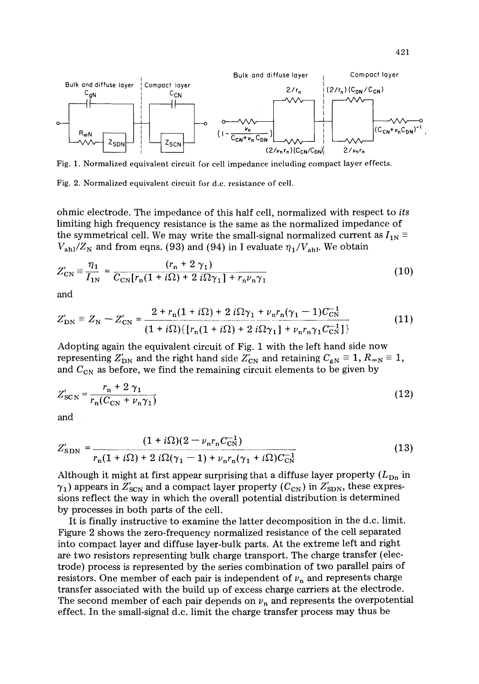

Fig. 1. Normalized equivalent circuit for cell impedance including compact layer effects.

Fig. 2. Normalized equivalent circuit for d.c. resistance of cell,

ohmic electrode. The impedance of this half cell, normalized with respect to *its*  limiting high frequency resistance is the same as the normalized impedance of the symmetrical cell. We may write the small-signal normalized current as  $I_{1N}$  =  $V_{\rm ah}/Z_{\rm N}$  and from eqns. (93) and (94) in I evaluate  $\eta_1/V_{\rm ah}$ . We obtain

$$
Z'_{\rm CN} = \frac{\eta_1}{I_{1\rm N}} = \frac{(r_{\rm n} + 2\,\gamma_1)}{C_{\rm CN}[r_{\rm n}(1 + i\Omega) + 2\,i\Omega\gamma_1] + r_{\rm n}\nu_{\rm n}\gamma_1}
$$
(10)

and

$$
Z'_{\rm DN} \equiv Z_{\rm N} - Z'_{\rm CN} = \frac{2 + r_{\rm n}(1 + i\Omega) + 2 i\Omega\gamma_1 + \nu_{\rm n}r_{\rm n}(\gamma_1 - 1)C_{\rm CN}^{-1}}{(1 + i\Omega)\{[r_{\rm n}(1 + i\Omega) + 2 i\Omega\gamma_1] + \nu_{\rm n}r_{\rm n}\gamma_1 C_{\rm CN}^{-1}\}]}
$$
(11)

Adopting again the equivalent circuit of Fig. 1 with the left hand side now representing  $Z'_{DN}$  and the right hand side  $Z'_{CN}$  and retaining  $C_{gN} \equiv 1, R_{\infty N} \equiv 1$ , and  $C_{CN}$  as before, we find the remaining circuit elements to be given by

$$
Z'_{\rm SCN} = \frac{r_{\rm n} + 2\,\gamma_1}{r_{\rm n}(C_{\rm CN} + \nu_{\rm n}\gamma_1)}\tag{12}
$$

and

$$
Z'_{\rm SDN} = \frac{(1 + i\Omega)(2 - \nu_{\rm n}r_{\rm n}C_{\rm CN}^{-1})}{r_{\rm n}(1 + i\Omega) + 2 i\Omega(\gamma_1 - 1) + \nu_{\rm n}r_{\rm n}(\gamma_1 + i\Omega)C_{\rm CN}^{-1}}
$$
(13)

Although it might at first appear surprising that a diffuse layer property  $(L_{\text{Dn}})$  in  $\gamma_1$ ) appears in  $Z'_{\rm SCN}$  and a compact layer property ( $C_{\rm CN}$ ) in  $Z'_{\rm SDN}$ , these expressions reflect the way in which the overall potential distribution is determined by processes in both parts of the cell.

It is finally instructive to examine the latter decomposition in the d.c. limit. Figure 2 shows the zero-frequency normalized resistance of the cell separated into compact layer and diffuse layer-bulk parts. At the extreme left and right are two resistors representing bulk charge transport. The charge transfer (electrode) process is represented by the series combination of two parallel pairs of resistors. One member of each pair is independent of  $\nu_n$  and represents charge transfer associated with the build up of excess charge carriers at the electrode. The second member of each pair depends on  $\nu_n$  and represents the overpotential effect. In the small-signal d.c. limit the charge transfer process may thus be